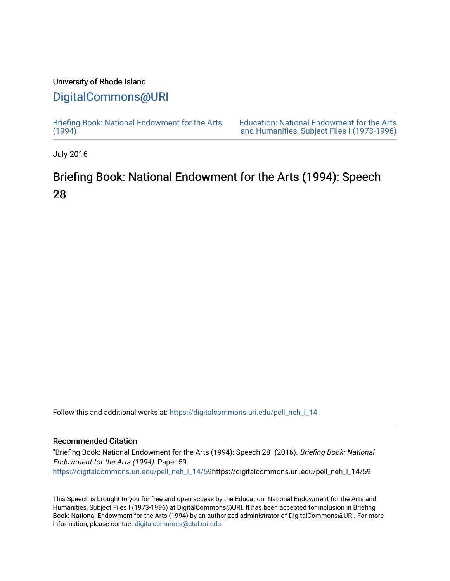### University of Rhode Island

## [DigitalCommons@URI](https://digitalcommons.uri.edu/)

[Briefing Book: National Endowment for the Arts](https://digitalcommons.uri.edu/pell_neh_I_14)  $(1994)$ 

[Education: National Endowment for the Arts](https://digitalcommons.uri.edu/pell_neh_I)  [and Humanities, Subject Files I \(1973-1996\)](https://digitalcommons.uri.edu/pell_neh_I) 

July 2016

# Briefing Book: National Endowment for the Arts (1994): Speech 28

Follow this and additional works at: [https://digitalcommons.uri.edu/pell\\_neh\\_I\\_14](https://digitalcommons.uri.edu/pell_neh_I_14?utm_source=digitalcommons.uri.edu%2Fpell_neh_I_14%2F59&utm_medium=PDF&utm_campaign=PDFCoverPages) 

### Recommended Citation

"Briefing Book: National Endowment for the Arts (1994): Speech 28" (2016). Briefing Book: National Endowment for the Arts (1994). Paper 59. [https://digitalcommons.uri.edu/pell\\_neh\\_I\\_14/59h](https://digitalcommons.uri.edu/pell_neh_I_14/59?utm_source=digitalcommons.uri.edu%2Fpell_neh_I_14%2F59&utm_medium=PDF&utm_campaign=PDFCoverPages)ttps://digitalcommons.uri.edu/pell\_neh\_I\_14/59

This Speech is brought to you for free and open access by the Education: National Endowment for the Arts and Humanities, Subject Files I (1973-1996) at DigitalCommons@URI. It has been accepted for inclusion in Briefing Book: National Endowment for the Arts (1994) by an authorized administrator of DigitalCommons@URI. For more information, please contact [digitalcommons@etal.uri.edu.](mailto:digitalcommons@etal.uri.edu)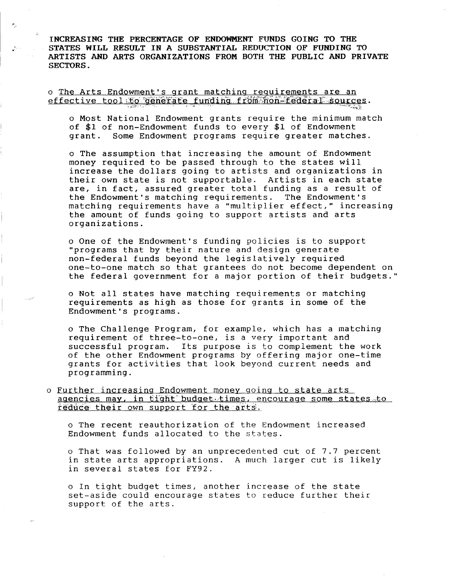INCREASING THE PERCENTAGE OF ENDOWMENT FUNDS GOING TO THE STATES WILL RESULT IN A SUBSTANTIAL REDUCTION OF FUNDING TO ARTISTS AND ARTS ORGANIZATIONS FROM BOTH THE PUBLIC AND PRIVATE SECTORS.

o The Arts Endowment's grant matching requirements are an effective tool to generate funding from non-federal sources.

 $\mathcal{P}_\alpha$ 

o Most National Endowment grants require the minimum match of \$1 of non-Endowment funds to every \$1 of Endowment grant. Some Endowment programs require greater matches.

o The assumption that increasing the amount of Endowment money required to be passed through to the states will increase the dollars going to artists and organizations in their own state is not supportable. Artists in each state are, in fact, assured greater total funding as a result of the Endowment's matching requirements. The Endowment's matching requirements have a "multiplier effect," increasing the amount of funds going to support artists and arts organizations.

o One of the Endowment's funding policies is to support "programs that by their nature and design generate non-federal funds beyond the legislatively required one-to-one match so that grantees do not become dependent on the federal government for a major portion of their budgets."

o Not all states have matching requirements or matching requirements as high as those for grants in some of the Endowment's programs.

o The Challenge Program, for example, which has a matching requirement of three-to-one, is a very important and successful program. Its purpose is to complement the work of the other Endowment programs by offering major one-time grants for activities that look beyond current needs and programming.

o Further increasing Endowment money going to state arts agencies may, in tight budget times, encourage some states to reduce their own support for the arts.

o The recent reauthorization of the Endowment increased Endowment funds allocated to the states.

o That was followed by an unprecedented cut of 7.7 percent in state arts appropriations. A much larger cut is likely in several states for FY92.

o In tight budget times, another increase of the state set-aside could encourage states to reduce further their support of the arts.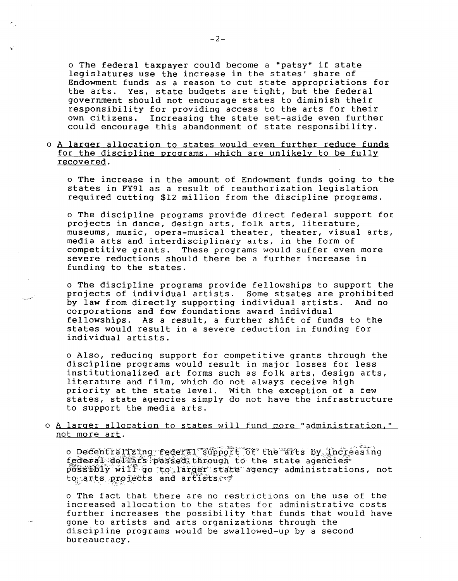o The federal taxpayer could become a "patsy" if state legislatures use the increase in the states' share of Endowment funds as a reason to cut state appropriations for the arts. Yes, state budgets are tight, but the federal government should not encourage states to diminish their responsibility for providing access to the arts for their own citizens. Increasing the state set-aside even further could encourage this abandonment of state responsibility.

o A larger allocation to states would even further reduce funds for the discipline programs, which are unlikely to be fully recovered.

o The increase in the amount of Endowment funds going to the states in FY91 as a result of reauthorization legislation required cutting \$12 million from the discipline programs.

o The discipline programs provide direct federal support for projects in dance, design arts, folk arts, literature, museums, music, opera-musical theater, theater, visual arts, media arts and interdisciplinary arts, in the form of competitive grants. These programs would suffer even more severe reductions should there be a further increase in funding to the states.

o The discipline programs provide fellowships to support the projects of individual artists. Some stsates are prohibited by law from directly supporting individual artists. And no corporations and few foundations award individual fellowships. As a result, a further shift of funds to the states would result in a severe reduction in funding for individual artists.

o Also, reducing support for competitive grants through the discipline programs would result in major losses for less institutionalized art forms such as folk arts, design arts, literature and film, which do not always receive high priority at the state level. With the exception of a few states, state agencies simply do not have the infrastructure to support the media arts.

o A larger allocation to states will fund more "administration," not more art.

o Decentralizing federal support of the arts by increasing federal dollars passed through to the state agencies  $p$ 08s51bly will  $q$ o to larger state agency administrations, not tomarts projects and artists of

o The fact that there are no restrictions on the use of the increased allocation to the states for administrative costs further increases the possibility that funds that would have gone to artists and arts organizations through the discipline programs would be swallowed-up by a second bureaucracy.